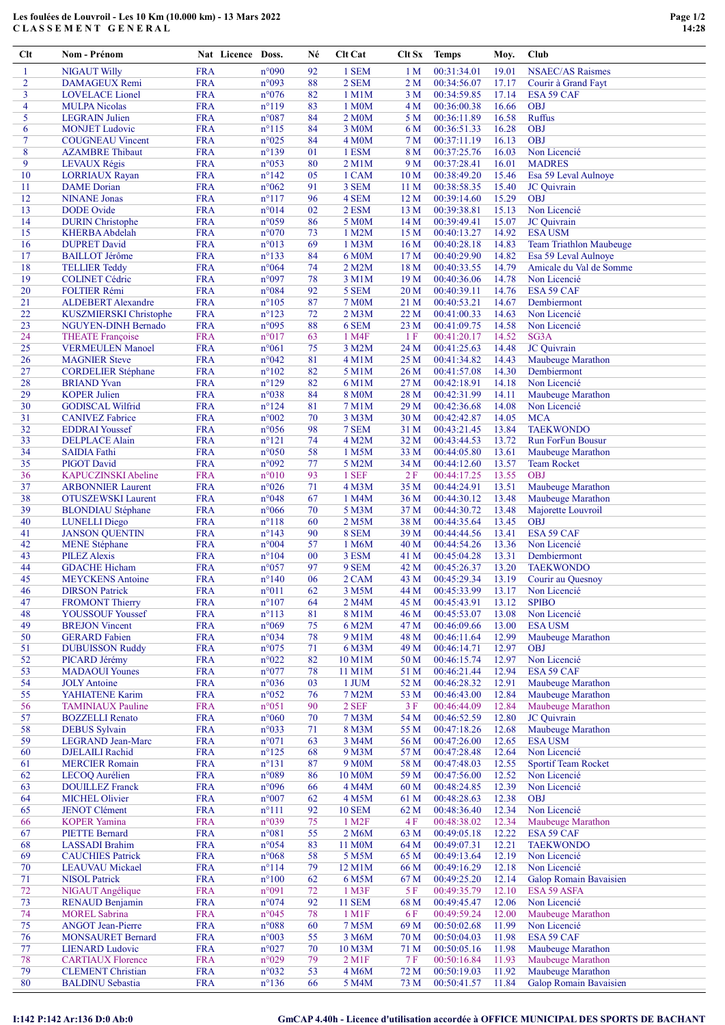## Les foulées de Louvroil - Les 10 Km (10.000 km) - 13 Mars 2022 CLASSEMENT GENERAL

| Clt            | Nom - Prénom                                       | Nat Licence Doss.        |                                  | Né       | <b>Clt Cat</b>      | Clt Sx                             | <b>Temps</b>               | Moy.           | Club                                            |
|----------------|----------------------------------------------------|--------------------------|----------------------------------|----------|---------------------|------------------------------------|----------------------------|----------------|-------------------------------------------------|
| 1              | <b>NIGAUT Willy</b>                                | <b>FRA</b>               | n°090                            | 92       | 1 SEM               | 1 <sub>M</sub>                     | 00:31:34.01                | 19.01          | <b>NSAEC/AS Raismes</b>                         |
| $\overline{2}$ | <b>DAMAGEUX Remi</b>                               | <b>FRA</b>               | n°093                            | 88       | 2 SEM               | 2 <sub>M</sub>                     | 00:34:56.07                | 17.17          | Courir à Grand Fayt                             |
| 3              | <b>LOVELACE</b> Lionel                             | <b>FRA</b>               | n°076                            | 82       | 1 M1M               | 3 M                                | 00:34:59.85                | 17.14          | ESA 59 CAF                                      |
| 4              | <b>MULPA Nicolas</b>                               | <b>FRA</b>               | $n^{\circ}119$                   | 83       | 1 M0M               | 4M                                 | 00:36:00.38                | 16.66          | <b>OBJ</b>                                      |
| 5              | <b>LEGRAIN</b> Julien                              | <b>FRA</b>               | $n^{\circ}087$                   | 84       | 2 M <sub>0</sub> M  | 5 M                                | 00:36:11.89                | 16.58          | <b>Ruffus</b>                                   |
| 6              | <b>MONJET</b> Ludovic                              | <b>FRA</b>               | $n^{\circ}115$                   | 84       | 3 M0M               | 6 M                                | 00:36:51.33                | 16.28          | <b>OBJ</b>                                      |
| $\tau$         | <b>COUGNEAU Vincent</b>                            | <b>FRA</b>               | $n^{\circ}025$                   | 84       | <b>4 M0M</b>        | 7 M                                | 00:37:11.19                | 16.13          | <b>OBJ</b>                                      |
| 8              | <b>AZAMBRE</b> Thibaut                             | <b>FRA</b>               | $n^{\circ}139$                   | 01       | 1 ESM               | 8 M                                | 00:37:25.76                | 16.03          | Non Licencié                                    |
| 9              | <b>LEVAUX Régis</b>                                | <b>FRA</b>               | n°053                            | 80       | $2$ M $1$ M         | 9 M                                | 00:37:28.41                | 16.01          | <b>MADRES</b>                                   |
| 10             | <b>LORRIAUX Rayan</b>                              | <b>FRA</b>               | $n^{\circ}142$                   | 05       | 1 CAM               | 10 <sub>M</sub>                    | 00:38:49.20                | 15.46          | Esa 59 Leval Aulnoye                            |
| 11             | <b>DAME</b> Dorian                                 | <b>FRA</b>               | $n^{\circ}062$                   | 91       | 3 SEM               | 11 <sub>M</sub>                    | 00:38:58.35                | 15.40          | JC Quivrain                                     |
| 12             | <b>NINANE</b> Jonas                                | <b>FRA</b>               | $n^{\circ}117$                   | 96       | 4 SEM               | 12 <sub>M</sub>                    | 00:39:14.60                | 15.29          | <b>OBJ</b>                                      |
| 13             | <b>DODE</b> Ovide                                  | <b>FRA</b>               | n°014                            | 02       | 2 ESM               | 13 M                               | 00:39:38.81                | 15.13          | Non Licencié                                    |
| 14             | <b>DURIN</b> Christophe                            | <b>FRA</b>               | n°059                            | 86       | 5 M0M               | 14 M                               | 00:39:49.41                | 15.07          | JC Quivrain                                     |
| 15             | <b>KHERBA Abdelah</b>                              | <b>FRA</b>               | n°070                            | 73       | 1 M2M               | 15 M                               | 00:40:13.27                | 14.92          | <b>ESA USM</b>                                  |
| 16             | <b>DUPRET David</b>                                | <b>FRA</b><br><b>FRA</b> | n°013                            | 69       | 1 M3M               | 16 <sub>M</sub>                    | 00:40:28.18                | 14.83          | Team Triathlon Maubeuge                         |
| 17<br>18       | <b>BAILLOT</b> Jérôme<br><b>TELLIER Teddy</b>      | <b>FRA</b>               | $n^{\circ}133$<br>n°064          | 84<br>74 | 6 M0M<br>2 M2M      | 17 <sub>M</sub><br>18 <sub>M</sub> | 00:40:29.90<br>00:40:33.55 | 14.82<br>14.79 | Esa 59 Leval Aulnoye<br>Amicale du Val de Somme |
| 19             | <b>COLINET Cédric</b>                              | <b>FRA</b>               | n°097                            | 78       | 3 M1M               | 19 <sub>M</sub>                    | 00:40:36.06                | 14.78          | Non Licencié                                    |
| 20             | <b>FOLTIER Rémi</b>                                | <b>FRA</b>               | $n^{\circ}084$                   | 92       | 5 SEM               | 20 M                               | 00:40:39.11                | 14.76          | ESA 59 CAF                                      |
| 21             | <b>ALDEBERT Alexandre</b>                          | <b>FRA</b>               | $n^{\circ}105$                   | 87       | <b>7 M0M</b>        | 21 M                               | 00:40:53.21                | 14.67          | Dembiermont                                     |
| 22             | KUSZMIERSKI Christophe                             | <b>FRA</b>               | $n^{\circ}123$                   | 72       | $2$ M $3$ M         | 22 M                               | 00:41:00.33                | 14.63          | Non Licencié                                    |
| 23             | NGUYEN-DINH Bernado                                | <b>FRA</b>               | n°095                            | 88       | 6 SEM               | 23 M                               | 00:41:09.75                | 14.58          | Non Licencié                                    |
| 24             | <b>THEATE</b> Françoise                            | <b>FRA</b>               | $n^{\circ}017$                   | 63       | 1 M <sub>4F</sub>   | 1 F                                | 00:41:20.17                | 14.52          | SG3A                                            |
| 25             | <b>VERMEULEN Manoel</b>                            | <b>FRA</b>               | $n^{\circ}061$                   | 75       | 3 M2M               | 24 M                               | 00:41:25.63                | 14.48          | JC Quivrain                                     |
| 26             | <b>MAGNIER Steve</b>                               | <b>FRA</b>               | n°042                            | 81       | $4$ M $1$ M         | 25 M                               | 00:41:34.82                | 14.43          | Maubeuge Marathon                               |
| 27             | <b>CORDELIER Stéphane</b>                          | <b>FRA</b>               | $n^{\circ}102$                   | 82       | 5 M1M               | 26 M                               | 00:41:57.08                | 14.30          | Dembiermont                                     |
| 28             | <b>BRIAND</b> Yvan                                 | <b>FRA</b>               | $n^{\circ}129$                   | 82       | 6 M1M               | 27 M                               | 00:42:18.91                | 14.18          | Non Licencié                                    |
| 29             | <b>KOPER Julien</b>                                | <b>FRA</b>               | n°038                            | 84       | <b>8 M0M</b>        | 28 M                               | 00:42:31.99                | 14.11          | Maubeuge Marathon                               |
| 30             | <b>GODISCAL Wilfrid</b>                            | <b>FRA</b>               | $n^{\circ}124$                   | 81       | 7 M1M               | 29 M                               | 00:42:36.68                | 14.08          | Non Licencié                                    |
| 31             | <b>CANIVEZ Fabrice</b>                             | <b>FRA</b>               | n°002                            | 70       | 3 M3M               | 30 M                               | 00:42:42.87                | 14.05          | <b>MCA</b>                                      |
| 32             | <b>EDDRAI</b> Youssef                              | <b>FRA</b>               | n°056                            | 98       | 7 SEM               | 31 M                               | 00:43:21.45                | 13.84          | <b>TAEKWONDO</b>                                |
| 33             | <b>DELPLACE Alain</b>                              | <b>FRA</b>               | $n^{\circ}121$                   | 74       | 4 M2M               | 32 M                               | 00:43:44.53                | 13.72          | <b>Run ForFun Bousur</b>                        |
| 34             | <b>SAIDIA</b> Fathi                                | <b>FRA</b>               | $n^{\circ}050$                   | 58       | 1 M5M               | 33 M                               | 00:44:05.80                | 13.61          | Maubeuge Marathon                               |
| 35             | <b>PIGOT David</b>                                 | <b>FRA</b>               | n°092                            | 77       | 5 M2M               | 34 M                               | 00:44:12.60                | 13.57          | <b>Team Rocket</b>                              |
| 36             | <b>KAPUCZINSKI</b> Abeline                         | <b>FRA</b>               | $n^{\circ}010$                   | 93       | 1 SEF               | 2F                                 | 00:44:17.25                | 13.55          | <b>OBJ</b>                                      |
| 37             | <b>ARBONNIER Laurent</b>                           | <b>FRA</b>               | n°026                            | 71       | 4 M3M               | 35 M                               | 00:44:24.91                | 13.51          | Maubeuge Marathon                               |
| 38             | <b>OTUSZEWSKI</b> Laurent                          | <b>FRA</b>               | n°048                            | 67       | 1 M4M               | 36 M                               | 00:44:30.12                | 13.48          | Maubeuge Marathon                               |
| 39             | <b>BLONDIAU</b> Stéphane                           | <b>FRA</b>               | n°066                            | 70       | 5 M3M               | 37 M                               | 00:44:30.72                | 13.48          | Majorette Louvroil                              |
| 40             | <b>LUNELLI Diego</b>                               | <b>FRA</b>               | $n^{\circ}118$                   | 60       | 2 M <sub>5</sub> M  | 38 M                               | 00:44:35.64                | 13.45          | <b>OBJ</b>                                      |
| 41             | <b>JANSON QUENTIN</b>                              | <b>FRA</b>               | $n^{\circ}143$                   | 90       | 8 SEM               | 39 M                               | 00:44:44.56                | 13.41          | ESA 59 CAF                                      |
| 42             | <b>MENE Stéphane</b>                               | <b>FRA</b>               | n°004                            | 57       | 1 M6M               | 40 M                               | 00:44:54.26                | 13.36          | Non Licencié                                    |
| 43             | <b>PILEZ Alexis</b>                                | <b>FRA</b>               | $n^{\circ}104$                   | 00       | 3 ESM               | 41 M                               | 00:45:04.28                | 13.31          | Dembiermont                                     |
| 44             | <b>GDACHE Hicham</b>                               | <b>FRA</b>               | n°057                            | 97       | 9 SEM               | 42 M                               | 00:45:26.37                | 13.20          | <b>TAEKWONDO</b>                                |
| 45             | <b>MEYCKENS</b> Antoine                            | <b>FRA</b>               | $n^{\circ}140$                   | 06       | 2 CAM               | 43 M                               | 00:45:29.34                | 13.19<br>13.17 | Courir au Quesnoy                               |
| 46<br>47       | <b>DIRSON</b> Patrick<br><b>FROMONT Thierry</b>    | <b>FRA</b><br><b>FRA</b> | $n^{\circ}011$<br>$n^{\circ}107$ | 62<br>64 | 3 M5M<br>2 M4M      | 44 M<br>45 M                       | 00:45:33.99<br>00:45:43.91 | 13.12          | Non Licencié<br><b>SPIBO</b>                    |
| 48             | <b>YOUSSOUF Youssef</b>                            | <b>FRA</b>               | $n^{\circ}113$                   | 81       | 8 M1M               | 46 M                               | 00:45:53.07                | 13.08          | Non Licencié                                    |
| 49             | <b>BREJON Vincent</b>                              | <b>FRA</b>               | n°069                            | 75       | 6 M2M               | 47 M                               | 00:46:09.66                | 13.00          | <b>ESA USM</b>                                  |
| 50             | <b>GERARD</b> Fabien                               | <b>FRA</b>               | n°034                            | 78       | 9 M1M               | 48 M                               | 00:46:11.64                | 12.99          | Maubeuge Marathon                               |
| 51             | <b>DUBUISSON Ruddy</b>                             | <b>FRA</b>               | n°075                            | 71       | 6 M3M               | 49 M                               | 00:46:14.71                | 12.97          | <b>OBJ</b>                                      |
| 52             | PICARD Jérémy                                      | <b>FRA</b>               | $n^{\circ}022$                   | 82       | 10 M1M              | 50 M                               | 00:46:15.74                | 12.97          | Non Licencié                                    |
| 53             | <b>MADAOUI</b> Younes                              | <b>FRA</b>               | n°077                            | 78       | 11 M1M              | 51 M                               | 00:46:21.44                | 12.94          | ESA 59 CAF                                      |
| 54             | <b>JOLY</b> Antoine                                | <b>FRA</b>               | n°036                            | 03       | 1 JUM               | 52 M                               | 00:46:28.32                | 12.91          | Maubeuge Marathon                               |
| 55             | YAHIATENE Karim                                    | <b>FRA</b>               | n°052                            | 76       | 7 M2M               | 53 M                               | 00:46:43.00                | 12.84          | Maubeuge Marathon                               |
| 56             | <b>TAMINIAUX Pauline</b>                           | <b>FRA</b>               | n°051                            | 90       | 2 SEF               | 3F                                 | 00:46:44.09                | 12.84          | Maubeuge Marathon                               |
| 57             | <b>BOZZELLI</b> Renato                             | <b>FRA</b>               | n°060                            | 70       | 7 M3M               | 54 M                               | 00:46:52.59                | 12.80          | JC Quivrain                                     |
| 58             | <b>DEBUS</b> Sylvain                               | <b>FRA</b>               | $n^{\circ}033$                   | 71       | 8 M3M               | 55 M                               | 00:47:18.26                | 12.68          | Maubeuge Marathon                               |
| 59             | <b>LEGRAND Jean-Marc</b>                           | <b>FRA</b>               | $n^{\circ}071$                   | 63       | 3 M4M               | 56 M                               | 00:47:26.00                | 12.65          | <b>ESA USM</b>                                  |
| 60             | <b>DJELAILI</b> Rachid                             | <b>FRA</b>               | $n^{\circ}125$                   | 68       | 9 M3M               | 57 M                               | 00:47:28.48                | 12.64          | Non Licencié                                    |
| 61             | <b>MERCIER Romain</b>                              | <b>FRA</b>               | $n^{\circ}131$                   | 87       | 9 M <sub>0</sub> M  | 58 M                               | 00:47:48.03                | 12.55          | <b>Sportif Team Rocket</b>                      |
| 62             | LECOQ Aurélien                                     | <b>FRA</b>               | n°089                            | 86       | 10 M0M              | 59 M                               | 00:47:56.00                | 12.52          | Non Licencié                                    |
| 63             | <b>DOUILLEZ Franck</b>                             | <b>FRA</b>               | n°096                            | 66       | 4 M4M               | 60 M                               | 00:48:24.85                | 12.39          | Non Licencié                                    |
| 64             | <b>MICHEL Olivier</b>                              | <b>FRA</b>               | n°007                            | 62       | 4 M5M               | 61 M                               | 00:48:28.63                | 12.38          | <b>OBJ</b>                                      |
| 65             | <b>JENOT Clément</b>                               | <b>FRA</b>               | $n^{\circ}111$                   | 92       | <b>10 SEM</b>       | 62 M                               | 00:48:36.40                | 12.34          | Non Licencié                                    |
| 66             | <b>KOPER Yamina</b>                                | <b>FRA</b>               | n°039                            | 75       | 1 M2F               | 4F                                 | 00:48:38.02                | 12.34          | Maubeuge Marathon                               |
| 67             | <b>PIETTE Bernard</b>                              | <b>FRA</b>               | n°081                            | 55       | 2 M6M               | 63 M                               | 00:49:05.18                | 12.22          | ESA 59 CAF                                      |
| 68             | <b>LASSADI</b> Brahim                              | <b>FRA</b>               | n°054                            | 83       | 11 M0M              | 64 M                               | 00:49:07.31                | 12.21          | <b>TAEKWONDO</b>                                |
| 69             | <b>CAUCHIES Patrick</b>                            | <b>FRA</b>               | n°068                            | 58       | 5 M5M               | 65 M                               | 00:49:13.64                | 12.19          | Non Licencié                                    |
| 70             | <b>LEAUVAU</b> Mickael                             | <b>FRA</b>               | $n^{\circ}114$                   | 79       | 12 M1M              | 66 M                               | 00:49:16.29                | 12.18          | Non Licencié                                    |
| 71             | <b>NISOL Patrick</b>                               | <b>FRA</b>               | $n^{\circ}100$                   | 62       | 6 M5M               | 67 M                               | 00:49:25.20                | 12.14          | Galop Romain Bavaisien                          |
| 72             | NIGAUT Angélique                                   | <b>FRA</b>               | n°091                            | 72       | 1 M3F               | 5 F                                | 00:49:35.79                | 12.10          | ESA 59 ASFA                                     |
| 73             | <b>RENAUD Benjamin</b>                             | <b>FRA</b>               | $n^{\circ}074$                   | 92       | <b>11 SEM</b>       | 68 M                               | 00:49:45.47                | 12.06          | Non Licencié                                    |
| 74             | <b>MOREL Sabrina</b>                               | <b>FRA</b>               | n°045                            | 78       | 1 M1F               | 6F                                 | 00:49:59.24                | 12.00          | Maubeuge Marathon                               |
| 75             | <b>ANGOT Jean-Pierre</b>                           | <b>FRA</b>               | n°088                            | 60       | 7 M5M               | 69 M                               | 00:50:02.68                | 11.99          | Non Licencié                                    |
| 76<br>77       | <b>MONSAURET Bernard</b><br><b>LIENARD Ludovic</b> | <b>FRA</b><br><b>FRA</b> | n°003<br>n°027                   | 55       | 3 M6M<br>10 M3M     | 70 M                               | 00:50:04.03<br>00:50:05.16 | 11.98<br>11.98 | ESA 59 CAF<br>Maubeuge Marathon                 |
| 78             | <b>CARTIAUX Florence</b>                           | <b>FRA</b>               | n°029                            | 70<br>79 | $2$ M <sub>1F</sub> | 71 M<br>7 F                        | 00:50:16.84                | 11.93          | Maubeuge Marathon                               |
| 79             | <b>CLEMENT Christian</b>                           | <b>FRA</b>               | n°032                            | 53       | 4 M6M               | 72 M                               | 00:50:19.03                | 11.92          | Maubeuge Marathon                               |
| 80             | <b>BALDINU</b> Sebastia                            | <b>FRA</b>               | $n^{\circ}$ 136                  | 66       | 5 M4M               | 73 M                               | 00:50:41.57                | 11.84          | Galop Romain Bavaisien                          |
|                |                                                    |                          |                                  |          |                     |                                    |                            |                |                                                 |